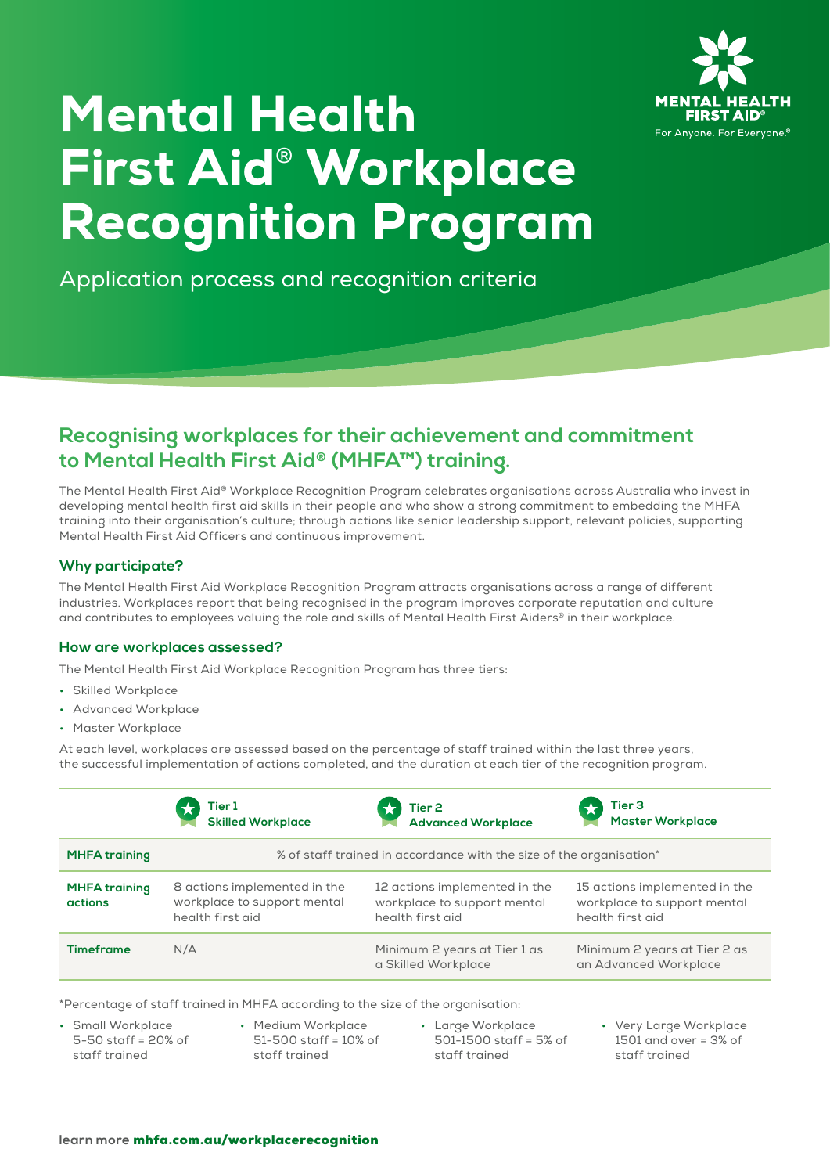

# Mental Health First Aid® Workplace Recognition Program

Application process and recognition criteria

# **Recognising workplaces for their achievement and commitment to Mental Health First Aid® (MHFA™) training.**

The Mental Health First Aid® Workplace Recognition Program celebrates organisations across Australia who invest in developing mental health first aid skills in their people and who show a strong commitment to embedding the MHFA training into their organisation's culture; through actions like senior leadership support, relevant policies, supporting Mental Health First Aid Officers and continuous improvement.

## **Why participate?**

The Mental Health First Aid Workplace Recognition Program attracts organisations across a range of different industries. Workplaces report that being recognised in the program improves corporate reputation and culture and contributes to employees valuing the role and skills of Mental Health First Aiders® in their workplace.

### **How are workplaces assessed?**

The Mental Health First Aid Workplace Recognition Program has three tiers:

- Skilled Workplace
- Advanced Workplace
- Master Workplace

At each level, workplaces are assessed based on the percentage of staff trained within the last three years, the successful implementation of actions completed, and the duration at each tier of the recognition program.

|                                        | Tier 1<br><b>Skilled Workplace</b>                                              | Tier <sub>2</sub><br><b>Advanced Workplace</b>                                   | Tier 3<br><b>Master Workplace</b>                                                |  |
|----------------------------------------|---------------------------------------------------------------------------------|----------------------------------------------------------------------------------|----------------------------------------------------------------------------------|--|
| <b>MHFA training</b>                   | % of staff trained in accordance with the size of the organisation*             |                                                                                  |                                                                                  |  |
| <b>MHFA training</b><br><b>actions</b> | 8 actions implemented in the<br>workplace to support mental<br>health first aid | 12 actions implemented in the<br>workplace to support mental<br>health first aid | 15 actions implemented in the<br>workplace to support mental<br>health first aid |  |
| <b>Timeframe</b>                       | N/A                                                                             | Minimum 2 years at Tier 1 as<br>a Skilled Workplace                              | Minimum 2 years at Tier 2 as<br>an Advanced Workplace                            |  |

\*Percentage of staff trained in MHFA according to the size of the organisation:

• Small Workplace 5-50 staff = 20% of staff trained

- Medium Workplace 51-500 staff = 10% of staff trained
- Large Workplace 501-1500 staff = 5% of staff trained
- Very Large Workplace 1501 and over = 3% of staff trained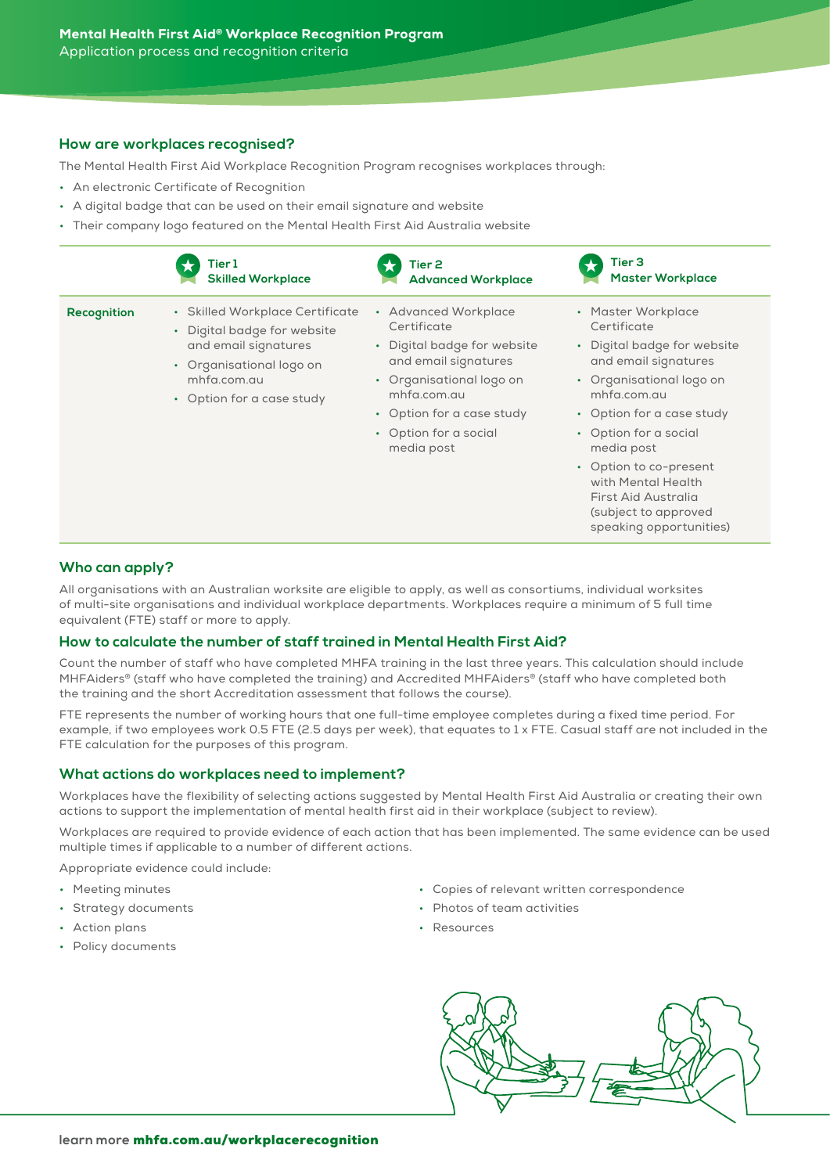#### **How are workplaces recognised?**

The Mental Health First Aid Workplace Recognition Program recognises workplaces through:

- An electronic Certificate of Recognition
- A digital badge that can be used on their email signature and website
- Their company logo featured on the Mental Health First Aid Australia website

|             | Tier 1                                                                                                                                                         | Tier 2                                                                                                                                                                                                    | Tier <sub>3</sub>                                                                                                                                                                                                                                                                                                                 |
|-------------|----------------------------------------------------------------------------------------------------------------------------------------------------------------|-----------------------------------------------------------------------------------------------------------------------------------------------------------------------------------------------------------|-----------------------------------------------------------------------------------------------------------------------------------------------------------------------------------------------------------------------------------------------------------------------------------------------------------------------------------|
|             | <b>Skilled Workplace</b>                                                                                                                                       | <b>Advanced Workplace</b>                                                                                                                                                                                 | <b>Master Workplace</b>                                                                                                                                                                                                                                                                                                           |
| Recognition | • Skilled Workplace Certificate<br>• Digital badge for website<br>and email signatures<br>• Organisational logo on<br>mhfa.com.au<br>• Option for a case study | • Advanced Workplace<br>Certificate<br>• Digital badge for website<br>and email signatures<br>• Organisational logo on<br>mhfa.com.au<br>• Option for a case study<br>• Option for a social<br>media post | • Master Workplace<br>Certificate<br>• Digital badge for website<br>and email signatures<br>• Organisational logo on<br>mhfa.com.au<br>• Option for a case study<br>• Option for a social<br>media post<br>• Option to co-present<br>with Mental Health<br>First Aid Australia<br>(subject to approved<br>speaking opportunities) |

#### **Who can apply?**

All organisations with an Australian worksite are eligible to apply, as well as consortiums, individual worksites of multi-site organisations and individual workplace departments. Workplaces require a minimum of 5 full time equivalent (FTE) staff or more to apply.

#### **How to calculate the number of staff trained in Mental Health First Aid?**

Count the number of staff who have completed MHFA training in the last three years. This calculation should include MHFAiders® (staff who have completed the training) and Accredited MHFAiders® (staff who have completed both the training and the short Accreditation assessment that follows the course).

FTE represents the number of working hours that one full-time employee completes during a fixed time period. For example, if two employees work 0.5 FTE (2.5 days per week), that equates to 1 x FTE. Casual staff are not included in the FTE calculation for the purposes of this program.

#### **What actions do workplaces need to implement?**

Workplaces have the flexibility of selecting actions suggested by Mental Health First Aid Australia or creating their own actions to support the implementation of mental health first aid in their workplace (subject to review).

Workplaces are required to provide evidence of each action that has been implemented. The same evidence can be used multiple times if applicable to a number of different actions.

Appropriate evidence could include:

- Meeting minutes
- Strategy documents
- Action plans
- Policy documents
- Copies of relevant written correspondence
- Photos of team activities
- Resources

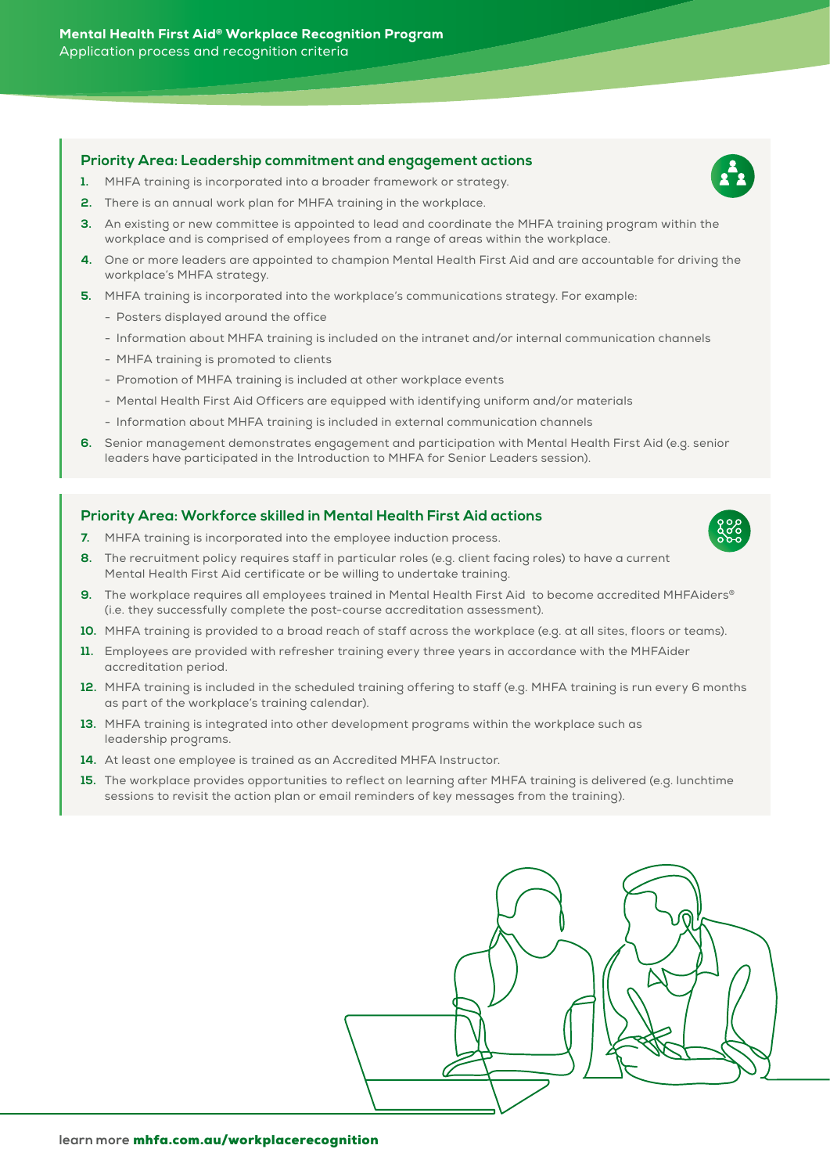#### **Priority Area: Leadership commitment and engagement actions**

- **1.** MHFA training is incorporated into a broader framework or strategy.
- **2.** There is an annual work plan for MHFA training in the workplace.
- **3.** An existing or new committee is appointed to lead and coordinate the MHFA training program within the workplace and is comprised of employees from a range of areas within the workplace.
- **4.** One or more leaders are appointed to champion Mental Health First Aid and are accountable for driving the workplace's MHFA strategy.
- **5.** MHFA training is incorporated into the workplace's communications strategy. For example:
	- Posters displayed around the office
	- Information about MHFA training is included on the intranet and/or internal communication channels
	- MHFA training is promoted to clients
	- Promotion of MHFA training is included at other workplace events
	- Mental Health First Aid Officers are equipped with identifying uniform and/or materials
	- Information about MHFA training is included in external communication channels
- **6.** Senior management demonstrates engagement and participation with Mental Health First Aid (e.g. senior leaders have participated in the Introduction to MHFA for Senior Leaders session).

#### **Priority Area: Workforce skilled in Mental Health First Aid actions**

- **7.** MHFA training is incorporated into the employee induction process.
- **8.** The recruitment policy requires staff in particular roles (e.g. client facing roles) to have a current Mental Health First Aid certificate or be willing to undertake training.
- **9.** The workplace requires all employees trained in Mental Health First Aid to become accredited MHFAiders® (i.e. they successfully complete the post-course accreditation assessment).
- **10.** MHFA training is provided to a broad reach of staff across the workplace (e.g. at all sites, floors or teams).
- **11.** Employees are provided with refresher training every three years in accordance with the MHFAider accreditation period.
- **12.** MHFA training is included in the scheduled training offering to staff (e.g. MHFA training is run every 6 months as part of the workplace's training calendar).
- **13.** MHFA training is integrated into other development programs within the workplace such as leadership programs.
- **14.** At least one employee is trained as an Accredited MHFA Instructor.
- **15.** The workplace provides opportunities to reflect on learning after MHFA training is delivered (e.g. lunchtime sessions to revisit the action plan or email reminders of key messages from the training).